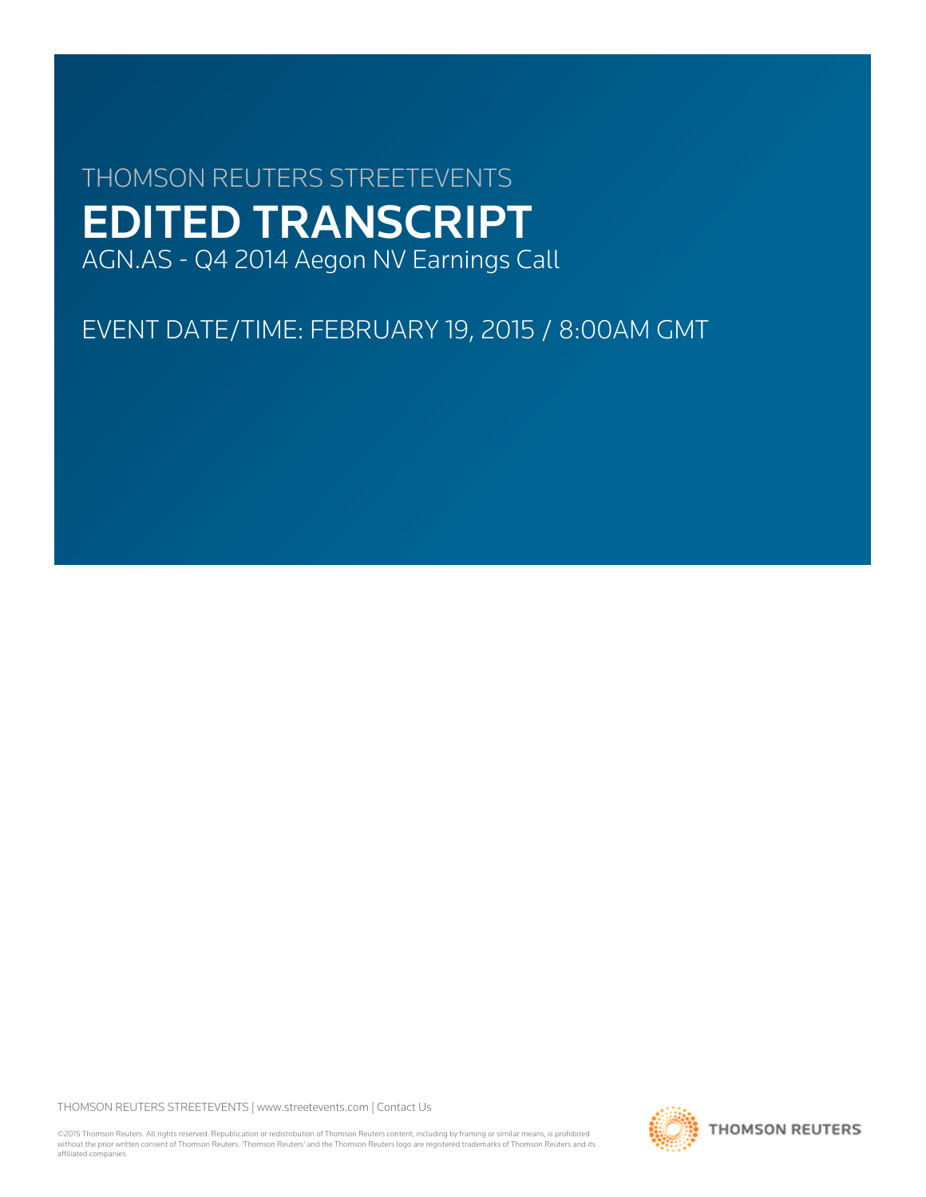# THOMSON REUTERS STREETEVENTS EDITED TRANSCRIPT AGN.AS - Q4 2014 Aegon NV Earnings Call

EVENT DATE/TIME: FEBRUARY 19, 2015 / 8:00AM GMT

THOMSON REUTERS STREETEVENTS | [www.streetevents.com](http://www.streetevents.com) | [Contact Us](http://www010.streetevents.com/contact.asp)

©2015 Thomson Reuters. All rights reserved. Republication or redistribution of Thomson Reuters content, including by framing or similar means, is prohibited without the prior written consent of Thomson Reuters. 'Thomson Reuters' and the Thomson Reuters logo are registered trademarks of Thomson Reuters and its affiliated companies.

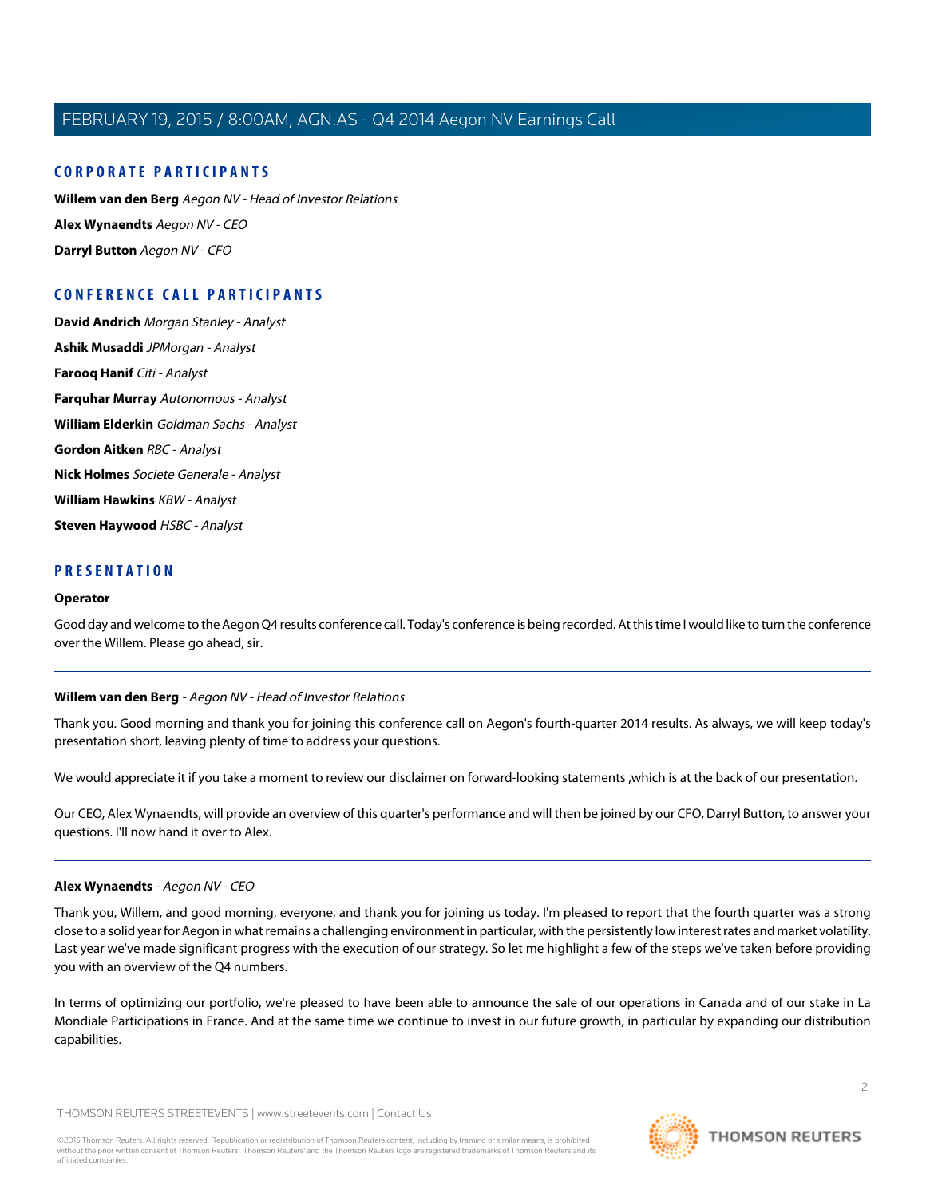# **CORPORATE PARTICIPANTS**

**[Willem van den Berg](#page-1-0)** Aegon NV - Head of Investor Relations **[Alex Wynaendts](#page-1-1)** Aegon NV - CEO **[Darryl Button](#page-4-0)** Aegon NV - CFO

# **CONFERENCE CALL PARTICIPANTS**

**[David Andrich](#page-4-1)** Morgan Stanley - Analyst **[Ashik Musaddi](#page-5-0)** JPMorgan - Analyst **[Farooq Hanif](#page-6-0)** Citi - Analyst **[Farquhar Murray](#page-8-0)** Autonomous - Analyst **[William Elderkin](#page-9-0)** Goldman Sachs - Analyst **[Gordon Aitken](#page-11-0)** RBC - Analyst **[Nick Holmes](#page-12-0)** Societe Generale - Analyst **[William Hawkins](#page-13-0)** KBW - Analyst **[Steven Haywood](#page-14-0)** HSBC - Analyst

# **PRESENTATION**

### **Operator**

<span id="page-1-0"></span>Good day and welcome to the Aegon Q4 results conference call. Today's conference is being recorded. At this time I would like to turn the conference over the Willem. Please go ahead, sir.

### **Willem van den Berg** - Aegon NV - Head of Investor Relations

Thank you. Good morning and thank you for joining this conference call on Aegon's fourth-quarter 2014 results. As always, we will keep today's presentation short, leaving plenty of time to address your questions.

We would appreciate it if you take a moment to review our disclaimer on forward-looking statements ,which is at the back of our presentation.

<span id="page-1-1"></span>Our CEO, Alex Wynaendts, will provide an overview of this quarter's performance and will then be joined by our CFO, Darryl Button, to answer your questions. I'll now hand it over to Alex.

### **Alex Wynaendts** - Aegon NV - CEO

Thank you, Willem, and good morning, everyone, and thank you for joining us today. I'm pleased to report that the fourth quarter was a strong close to a solid year for Aegon in what remains a challenging environment in particular, with the persistently low interest rates and market volatility. Last year we've made significant progress with the execution of our strategy. So let me highlight a few of the steps we've taken before providing you with an overview of the Q4 numbers.

In terms of optimizing our portfolio, we're pleased to have been able to announce the sale of our operations in Canada and of our stake in La Mondiale Participations in France. And at the same time we continue to invest in our future growth, in particular by expanding our distribution capabilities.

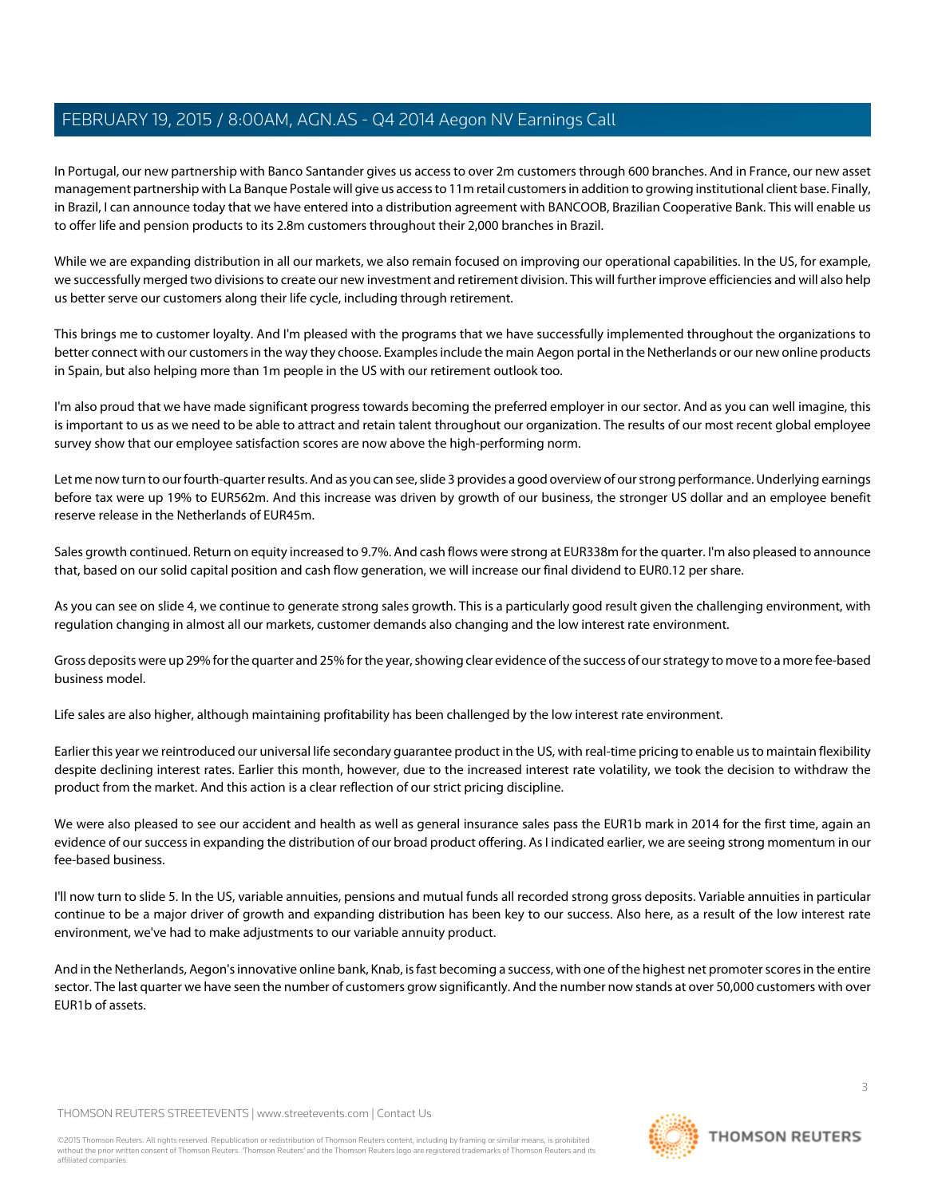In Portugal, our new partnership with Banco Santander gives us access to over 2m customers through 600 branches. And in France, our new asset management partnership with La Banque Postale will give us access to 11m retail customers in addition to growing institutional client base. Finally, in Brazil, I can announce today that we have entered into a distribution agreement with BANCOOB, Brazilian Cooperative Bank. This will enable us to offer life and pension products to its 2.8m customers throughout their 2,000 branches in Brazil.

While we are expanding distribution in all our markets, we also remain focused on improving our operational capabilities. In the US, for example, we successfully merged two divisions to create our new investment and retirement division. This will further improve efficiencies and will also help us better serve our customers along their life cycle, including through retirement.

This brings me to customer loyalty. And I'm pleased with the programs that we have successfully implemented throughout the organizations to better connect with our customers in the way they choose. Examples include the main Aegon portal in the Netherlands or our new online products in Spain, but also helping more than 1m people in the US with our retirement outlook too.

I'm also proud that we have made significant progress towards becoming the preferred employer in our sector. And as you can well imagine, this is important to us as we need to be able to attract and retain talent throughout our organization. The results of our most recent global employee survey show that our employee satisfaction scores are now above the high-performing norm.

Let me now turn to our fourth-quarter results. And as you can see, slide 3 provides a good overview of our strong performance. Underlying earnings before tax were up 19% to EUR562m. And this increase was driven by growth of our business, the stronger US dollar and an employee benefit reserve release in the Netherlands of EUR45m.

Sales growth continued. Return on equity increased to 9.7%. And cash flows were strong at EUR338m for the quarter. I'm also pleased to announce that, based on our solid capital position and cash flow generation, we will increase our final dividend to EUR0.12 per share.

As you can see on slide 4, we continue to generate strong sales growth. This is a particularly good result given the challenging environment, with regulation changing in almost all our markets, customer demands also changing and the low interest rate environment.

Gross deposits were up 29% for the quarter and 25% for the year, showing clear evidence of the success of our strategy to move to a more fee-based business model.

Life sales are also higher, although maintaining profitability has been challenged by the low interest rate environment.

Earlier this year we reintroduced our universal life secondary guarantee product in the US, with real-time pricing to enable us to maintain flexibility despite declining interest rates. Earlier this month, however, due to the increased interest rate volatility, we took the decision to withdraw the product from the market. And this action is a clear reflection of our strict pricing discipline.

We were also pleased to see our accident and health as well as general insurance sales pass the EUR1b mark in 2014 for the first time, again an evidence of our success in expanding the distribution of our broad product offering. As I indicated earlier, we are seeing strong momentum in our fee-based business.

I'll now turn to slide 5. In the US, variable annuities, pensions and mutual funds all recorded strong gross deposits. Variable annuities in particular continue to be a major driver of growth and expanding distribution has been key to our success. Also here, as a result of the low interest rate environment, we've had to make adjustments to our variable annuity product.

And in the Netherlands, Aegon's innovative online bank, Knab, is fast becoming a success, with one of the highest net promoter scores in the entire sector. The last quarter we have seen the number of customers grow significantly. And the number now stands at over 50,000 customers with over EUR1b of assets.

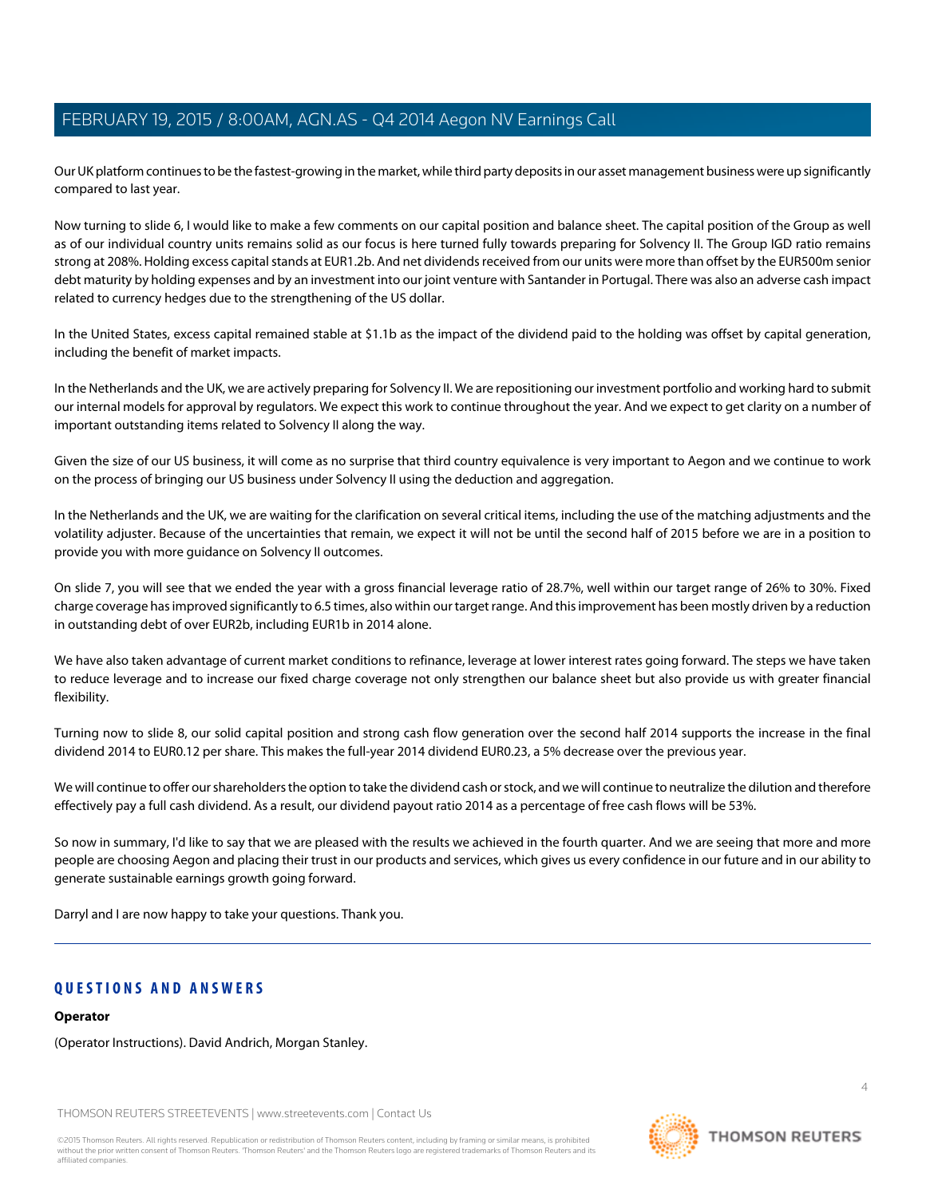Our UK platform continues to be the fastest-growing in the market, while third party deposits in our asset management business were up significantly compared to last year.

Now turning to slide 6, I would like to make a few comments on our capital position and balance sheet. The capital position of the Group as well as of our individual country units remains solid as our focus is here turned fully towards preparing for Solvency II. The Group IGD ratio remains strong at 208%. Holding excess capital stands at EUR1.2b. And net dividends received from our units were more than offset by the EUR500m senior debt maturity by holding expenses and by an investment into our joint venture with Santander in Portugal. There was also an adverse cash impact related to currency hedges due to the strengthening of the US dollar.

In the United States, excess capital remained stable at \$1.1b as the impact of the dividend paid to the holding was offset by capital generation, including the benefit of market impacts.

In the Netherlands and the UK, we are actively preparing for Solvency II. We are repositioning our investment portfolio and working hard to submit our internal models for approval by regulators. We expect this work to continue throughout the year. And we expect to get clarity on a number of important outstanding items related to Solvency II along the way.

Given the size of our US business, it will come as no surprise that third country equivalence is very important to Aegon and we continue to work on the process of bringing our US business under Solvency II using the deduction and aggregation.

In the Netherlands and the UK, we are waiting for the clarification on several critical items, including the use of the matching adjustments and the volatility adjuster. Because of the uncertainties that remain, we expect it will not be until the second half of 2015 before we are in a position to provide you with more guidance on Solvency II outcomes.

On slide 7, you will see that we ended the year with a gross financial leverage ratio of 28.7%, well within our target range of 26% to 30%. Fixed charge coverage has improved significantly to 6.5 times, also within our target range. And this improvement has been mostly driven by a reduction in outstanding debt of over EUR2b, including EUR1b in 2014 alone.

We have also taken advantage of current market conditions to refinance, leverage at lower interest rates going forward. The steps we have taken to reduce leverage and to increase our fixed charge coverage not only strengthen our balance sheet but also provide us with greater financial flexibility.

Turning now to slide 8, our solid capital position and strong cash flow generation over the second half 2014 supports the increase in the final dividend 2014 to EUR0.12 per share. This makes the full-year 2014 dividend EUR0.23, a 5% decrease over the previous year.

We will continue to offer our shareholders the option to take the dividend cash or stock, and we will continue to neutralize the dilution and therefore effectively pay a full cash dividend. As a result, our dividend payout ratio 2014 as a percentage of free cash flows will be 53%.

So now in summary, I'd like to say that we are pleased with the results we achieved in the fourth quarter. And we are seeing that more and more people are choosing Aegon and placing their trust in our products and services, which gives us every confidence in our future and in our ability to generate sustainable earnings growth going forward.

Darryl and I are now happy to take your questions. Thank you.

# **QUESTIONS AND ANSWERS**

### **Operator**

(Operator Instructions). David Andrich, Morgan Stanley.

THOMSON REUTERS STREETEVENTS | [www.streetevents.com](http://www.streetevents.com) | [Contact Us](http://www010.streetevents.com/contact.asp)

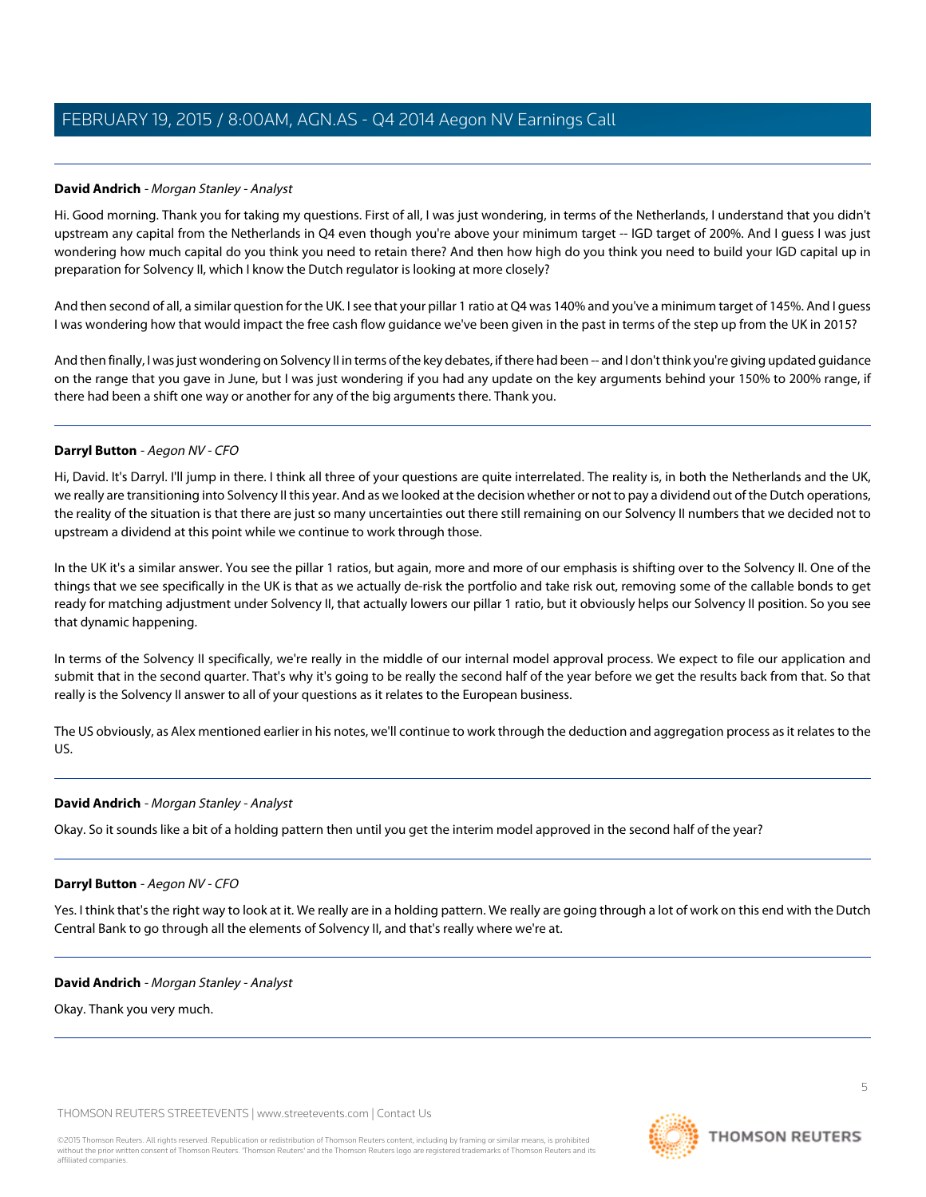# <span id="page-4-1"></span>**David Andrich** - Morgan Stanley - Analyst

Hi. Good morning. Thank you for taking my questions. First of all, I was just wondering, in terms of the Netherlands, I understand that you didn't upstream any capital from the Netherlands in Q4 even though you're above your minimum target -- IGD target of 200%. And I guess I was just wondering how much capital do you think you need to retain there? And then how high do you think you need to build your IGD capital up in preparation for Solvency II, which I know the Dutch regulator is looking at more closely?

And then second of all, a similar question for the UK. I see that your pillar 1 ratio at Q4 was 140% and you've a minimum target of 145%. And I guess I was wondering how that would impact the free cash flow guidance we've been given in the past in terms of the step up from the UK in 2015?

And then finally, I was just wondering on Solvency II in terms of the key debates, if there had been -- and I don't think you're giving updated guidance on the range that you gave in June, but I was just wondering if you had any update on the key arguments behind your 150% to 200% range, if there had been a shift one way or another for any of the big arguments there. Thank you.

### <span id="page-4-0"></span>**Darryl Button** - Aegon NV - CFO

Hi, David. It's Darryl. I'll jump in there. I think all three of your questions are quite interrelated. The reality is, in both the Netherlands and the UK, we really are transitioning into Solvency II this year. And as we looked at the decision whether or not to pay a dividend out of the Dutch operations, the reality of the situation is that there are just so many uncertainties out there still remaining on our Solvency II numbers that we decided not to upstream a dividend at this point while we continue to work through those.

In the UK it's a similar answer. You see the pillar 1 ratios, but again, more and more of our emphasis is shifting over to the Solvency II. One of the things that we see specifically in the UK is that as we actually de-risk the portfolio and take risk out, removing some of the callable bonds to get ready for matching adjustment under Solvency II, that actually lowers our pillar 1 ratio, but it obviously helps our Solvency II position. So you see that dynamic happening.

In terms of the Solvency II specifically, we're really in the middle of our internal model approval process. We expect to file our application and submit that in the second quarter. That's why it's going to be really the second half of the year before we get the results back from that. So that really is the Solvency II answer to all of your questions as it relates to the European business.

The US obviously, as Alex mentioned earlier in his notes, we'll continue to work through the deduction and aggregation process as it relates to the US.

### **David Andrich** - Morgan Stanley - Analyst

Okay. So it sounds like a bit of a holding pattern then until you get the interim model approved in the second half of the year?

### **Darryl Button** - Aegon NV - CFO

Yes. I think that's the right way to look at it. We really are in a holding pattern. We really are going through a lot of work on this end with the Dutch Central Bank to go through all the elements of Solvency II, and that's really where we're at.

### **David Andrich** - Morgan Stanley - Analyst

Okay. Thank you very much.

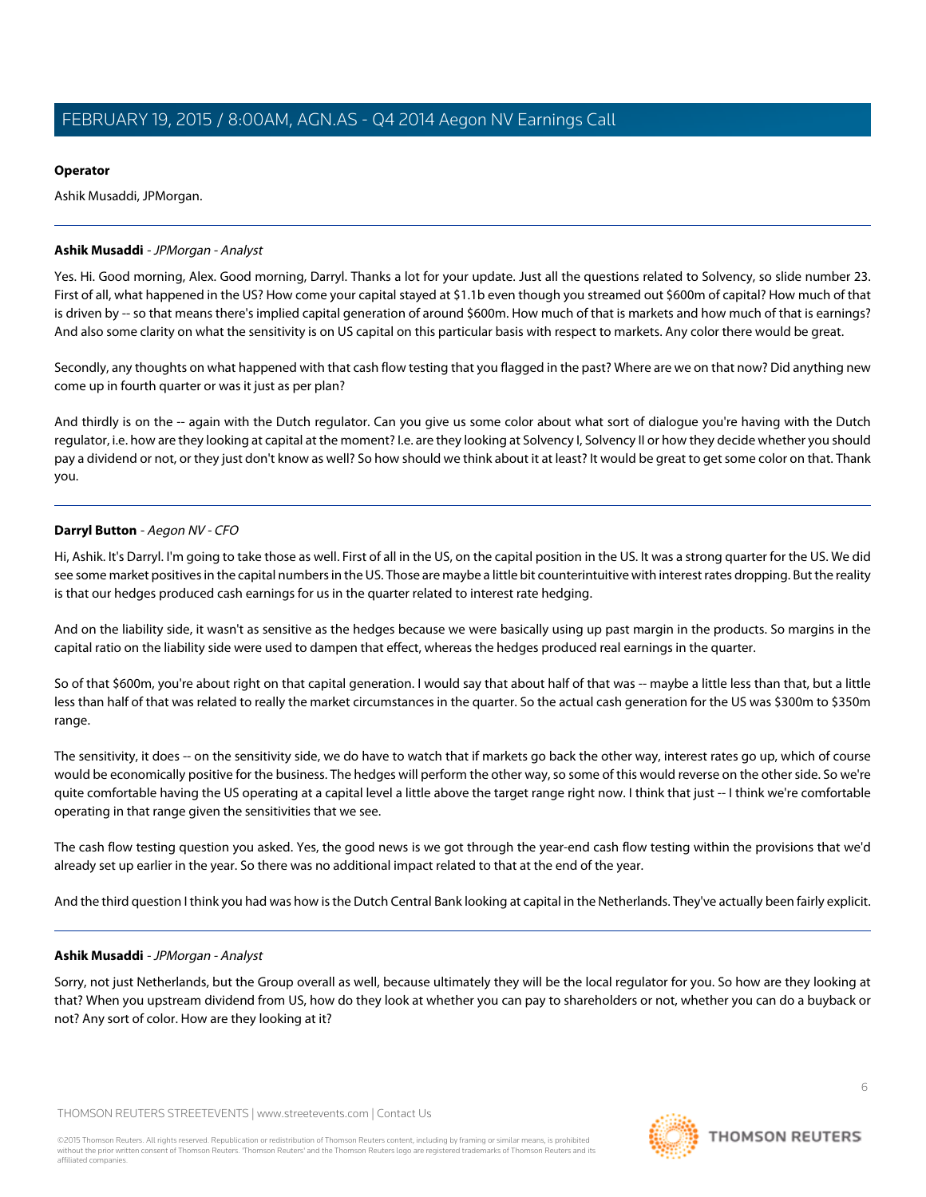# **Operator**

Ashik Musaddi, JPMorgan.

# <span id="page-5-0"></span>**Ashik Musaddi** - JPMorgan - Analyst

Yes. Hi. Good morning, Alex. Good morning, Darryl. Thanks a lot for your update. Just all the questions related to Solvency, so slide number 23. First of all, what happened in the US? How come your capital stayed at \$1.1b even though you streamed out \$600m of capital? How much of that is driven by -- so that means there's implied capital generation of around \$600m. How much of that is markets and how much of that is earnings? And also some clarity on what the sensitivity is on US capital on this particular basis with respect to markets. Any color there would be great.

Secondly, any thoughts on what happened with that cash flow testing that you flagged in the past? Where are we on that now? Did anything new come up in fourth quarter or was it just as per plan?

And thirdly is on the -- again with the Dutch regulator. Can you give us some color about what sort of dialogue you're having with the Dutch regulator, i.e. how are they looking at capital at the moment? I.e. are they looking at Solvency I, Solvency II or how they decide whether you should pay a dividend or not, or they just don't know as well? So how should we think about it at least? It would be great to get some color on that. Thank you.

# **Darryl Button** - Aegon NV - CFO

Hi, Ashik. It's Darryl. I'm going to take those as well. First of all in the US, on the capital position in the US. It was a strong quarter for the US. We did see some market positives in the capital numbers in the US. Those are maybe a little bit counterintuitive with interest rates dropping. But the reality is that our hedges produced cash earnings for us in the quarter related to interest rate hedging.

And on the liability side, it wasn't as sensitive as the hedges because we were basically using up past margin in the products. So margins in the capital ratio on the liability side were used to dampen that effect, whereas the hedges produced real earnings in the quarter.

So of that \$600m, you're about right on that capital generation. I would say that about half of that was -- maybe a little less than that, but a little less than half of that was related to really the market circumstances in the quarter. So the actual cash generation for the US was \$300m to \$350m range.

The sensitivity, it does -- on the sensitivity side, we do have to watch that if markets go back the other way, interest rates go up, which of course would be economically positive for the business. The hedges will perform the other way, so some of this would reverse on the other side. So we're quite comfortable having the US operating at a capital level a little above the target range right now. I think that just -- I think we're comfortable operating in that range given the sensitivities that we see.

The cash flow testing question you asked. Yes, the good news is we got through the year-end cash flow testing within the provisions that we'd already set up earlier in the year. So there was no additional impact related to that at the end of the year.

And the third question I think you had was how is the Dutch Central Bank looking at capital in the Netherlands. They've actually been fairly explicit.

# **Ashik Musaddi** - JPMorgan - Analyst

Sorry, not just Netherlands, but the Group overall as well, because ultimately they will be the local regulator for you. So how are they looking at that? When you upstream dividend from US, how do they look at whether you can pay to shareholders or not, whether you can do a buyback or not? Any sort of color. How are they looking at it?

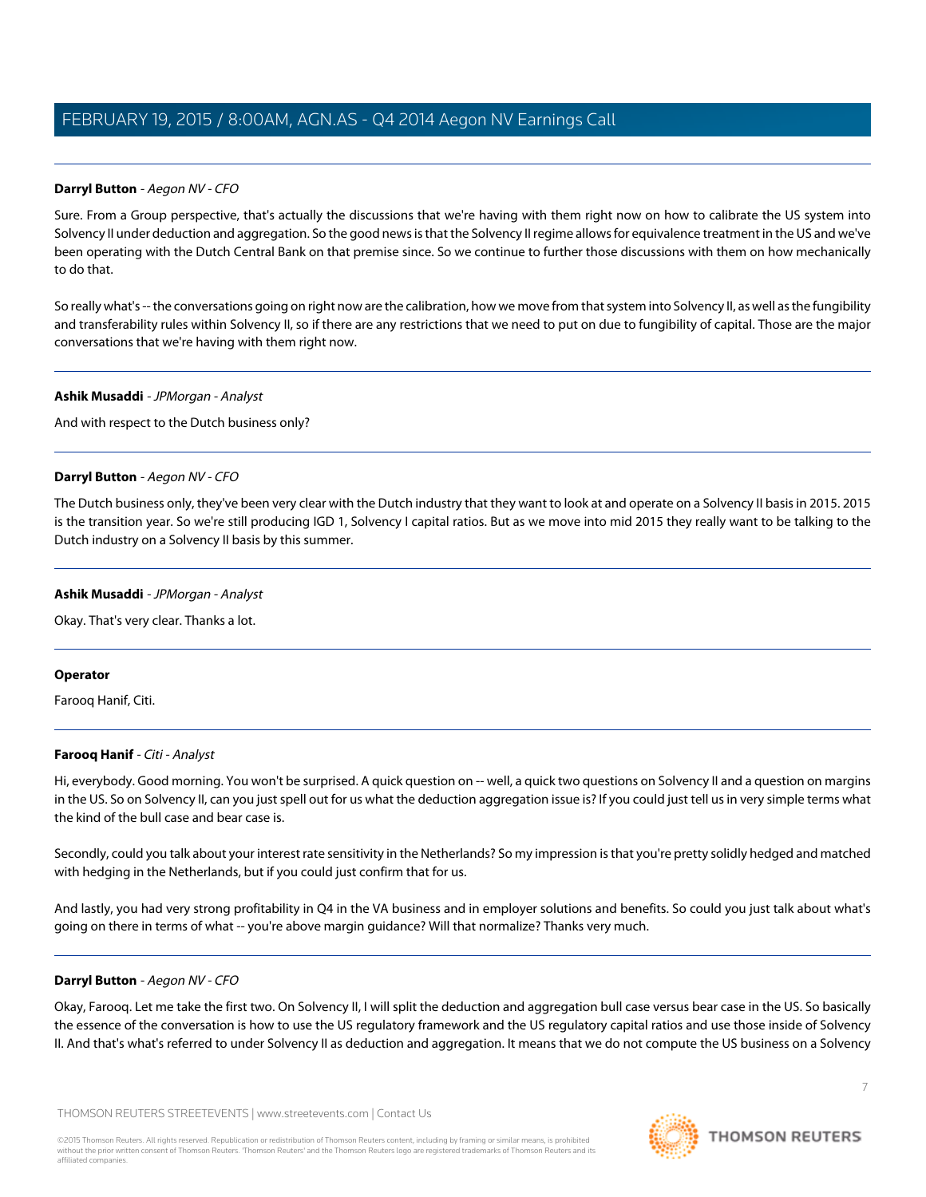### **Darryl Button** - Aegon NV - CFO

Sure. From a Group perspective, that's actually the discussions that we're having with them right now on how to calibrate the US system into Solvency II under deduction and aggregation. So the good news is that the Solvency II regime allows for equivalence treatment in the US and we've been operating with the Dutch Central Bank on that premise since. So we continue to further those discussions with them on how mechanically to do that.

So really what's -- the conversations going on right now are the calibration, how we move from that system into Solvency II, as well as the fungibility and transferability rules within Solvency II, so if there are any restrictions that we need to put on due to fungibility of capital. Those are the major conversations that we're having with them right now.

#### **Ashik Musaddi** - JPMorgan - Analyst

And with respect to the Dutch business only?

### **Darryl Button** - Aegon NV - CFO

The Dutch business only, they've been very clear with the Dutch industry that they want to look at and operate on a Solvency II basis in 2015. 2015 is the transition year. So we're still producing IGD 1, Solvency I capital ratios. But as we move into mid 2015 they really want to be talking to the Dutch industry on a Solvency II basis by this summer.

### **Ashik Musaddi** - JPMorgan - Analyst

Okay. That's very clear. Thanks a lot.

#### <span id="page-6-0"></span>**Operator**

Farooq Hanif, Citi.

### **Farooq Hanif** - Citi - Analyst

Hi, everybody. Good morning. You won't be surprised. A quick question on -- well, a quick two questions on Solvency II and a question on margins in the US. So on Solvency II, can you just spell out for us what the deduction aggregation issue is? If you could just tell us in very simple terms what the kind of the bull case and bear case is.

Secondly, could you talk about your interest rate sensitivity in the Netherlands? So my impression is that you're pretty solidly hedged and matched with hedging in the Netherlands, but if you could just confirm that for us.

And lastly, you had very strong profitability in Q4 in the VA business and in employer solutions and benefits. So could you just talk about what's going on there in terms of what -- you're above margin guidance? Will that normalize? Thanks very much.

### **Darryl Button** - Aegon NV - CFO

Okay, Farooq. Let me take the first two. On Solvency II, I will split the deduction and aggregation bull case versus bear case in the US. So basically the essence of the conversation is how to use the US regulatory framework and the US regulatory capital ratios and use those inside of Solvency II. And that's what's referred to under Solvency II as deduction and aggregation. It means that we do not compute the US business on a Solvency

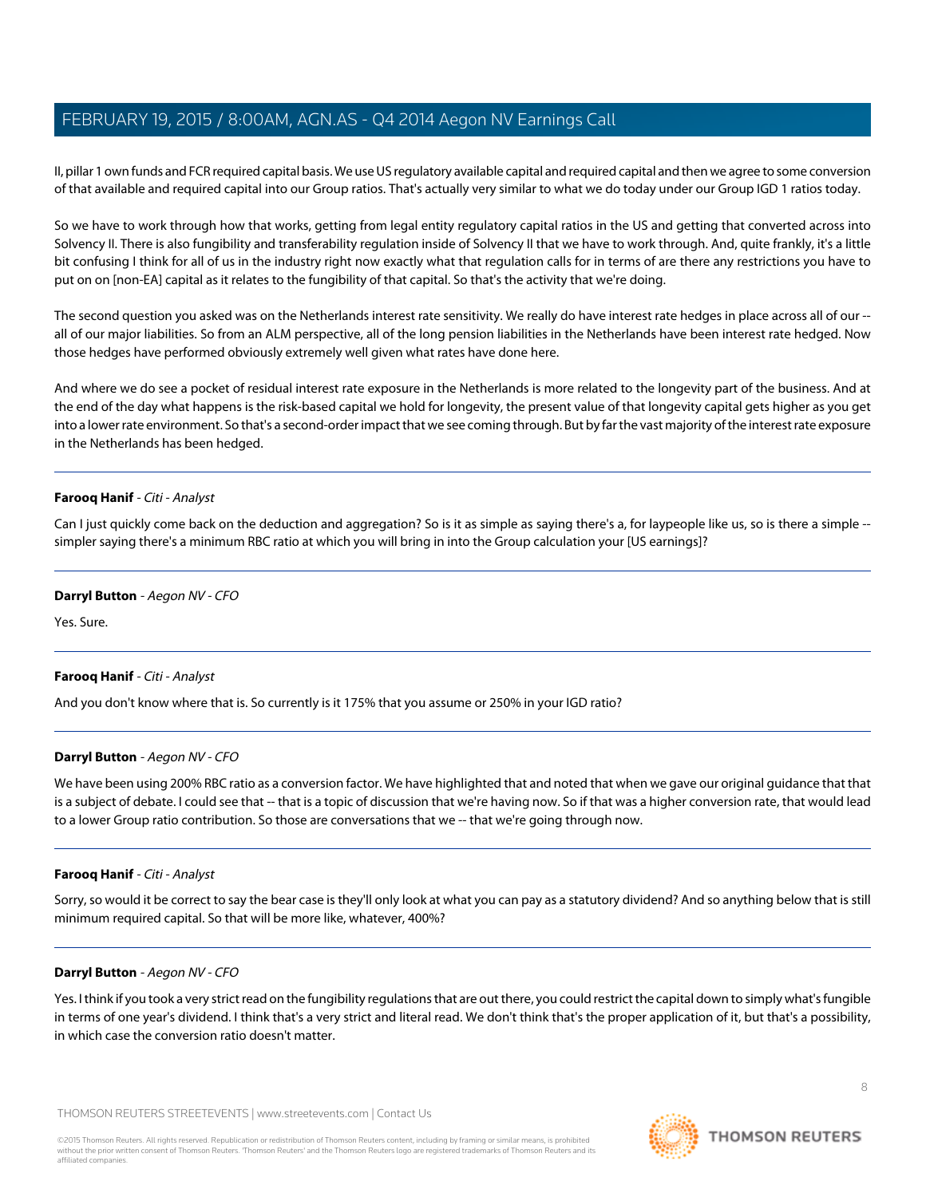II, pillar 1 own funds and FCR required capital basis. We use US regulatory available capital and required capital and then we agree to some conversion of that available and required capital into our Group ratios. That's actually very similar to what we do today under our Group IGD 1 ratios today.

So we have to work through how that works, getting from legal entity regulatory capital ratios in the US and getting that converted across into Solvency II. There is also fungibility and transferability regulation inside of Solvency II that we have to work through. And, quite frankly, it's a little bit confusing I think for all of us in the industry right now exactly what that regulation calls for in terms of are there any restrictions you have to put on on [non-EA] capital as it relates to the fungibility of that capital. So that's the activity that we're doing.

The second question you asked was on the Netherlands interest rate sensitivity. We really do have interest rate hedges in place across all of our -all of our major liabilities. So from an ALM perspective, all of the long pension liabilities in the Netherlands have been interest rate hedged. Now those hedges have performed obviously extremely well given what rates have done here.

And where we do see a pocket of residual interest rate exposure in the Netherlands is more related to the longevity part of the business. And at the end of the day what happens is the risk-based capital we hold for longevity, the present value of that longevity capital gets higher as you get into a lower rate environment. So that's a second-order impact that we see coming through. But by far the vast majority of the interest rate exposure in the Netherlands has been hedged.

### **Farooq Hanif** - Citi - Analyst

Can I just quickly come back on the deduction and aggregation? So is it as simple as saying there's a, for laypeople like us, so is there a simple -simpler saying there's a minimum RBC ratio at which you will bring in into the Group calculation your [US earnings]?

### **Darryl Button** - Aegon NV - CFO

Yes. Sure.

# **Farooq Hanif** - Citi - Analyst

And you don't know where that is. So currently is it 175% that you assume or 250% in your IGD ratio?

# **Darryl Button** - Aegon NV - CFO

We have been using 200% RBC ratio as a conversion factor. We have highlighted that and noted that when we gave our original guidance that that is a subject of debate. I could see that -- that is a topic of discussion that we're having now. So if that was a higher conversion rate, that would lead to a lower Group ratio contribution. So those are conversations that we -- that we're going through now.

# **Farooq Hanif** - Citi - Analyst

Sorry, so would it be correct to say the bear case is they'll only look at what you can pay as a statutory dividend? And so anything below that is still minimum required capital. So that will be more like, whatever, 400%?

# **Darryl Button** - Aegon NV - CFO

Yes. I think if you took a very strict read on the fungibility regulations that are out there, you could restrict the capital down to simply what's fungible in terms of one year's dividend. I think that's a very strict and literal read. We don't think that's the proper application of it, but that's a possibility, in which case the conversion ratio doesn't matter.

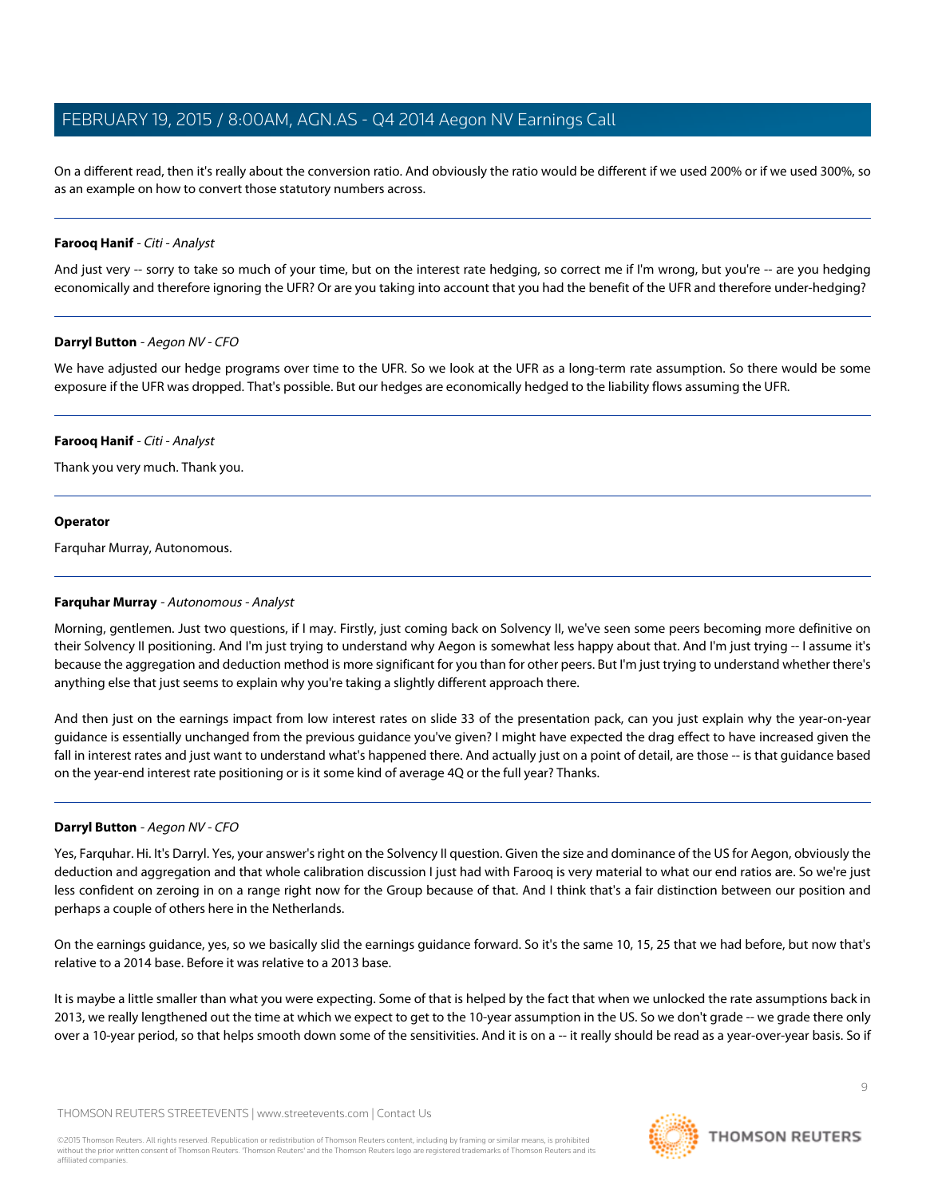On a different read, then it's really about the conversion ratio. And obviously the ratio would be different if we used 200% or if we used 300%, so as an example on how to convert those statutory numbers across.

### **Farooq Hanif** - Citi - Analyst

And just very -- sorry to take so much of your time, but on the interest rate hedging, so correct me if I'm wrong, but you're -- are you hedging economically and therefore ignoring the UFR? Or are you taking into account that you had the benefit of the UFR and therefore under-hedging?

### **Darryl Button** - Aegon NV - CFO

We have adjusted our hedge programs over time to the UFR. So we look at the UFR as a long-term rate assumption. So there would be some exposure if the UFR was dropped. That's possible. But our hedges are economically hedged to the liability flows assuming the UFR.

### **Farooq Hanif** - Citi - Analyst

Thank you very much. Thank you.

### **Operator**

<span id="page-8-0"></span>Farquhar Murray, Autonomous.

### **Farquhar Murray** - Autonomous - Analyst

Morning, gentlemen. Just two questions, if I may. Firstly, just coming back on Solvency II, we've seen some peers becoming more definitive on their Solvency II positioning. And I'm just trying to understand why Aegon is somewhat less happy about that. And I'm just trying -- I assume it's because the aggregation and deduction method is more significant for you than for other peers. But I'm just trying to understand whether there's anything else that just seems to explain why you're taking a slightly different approach there.

And then just on the earnings impact from low interest rates on slide 33 of the presentation pack, can you just explain why the year-on-year guidance is essentially unchanged from the previous guidance you've given? I might have expected the drag effect to have increased given the fall in interest rates and just want to understand what's happened there. And actually just on a point of detail, are those -- is that guidance based on the year-end interest rate positioning or is it some kind of average 4Q or the full year? Thanks.

### **Darryl Button** - Aegon NV - CFO

Yes, Farquhar. Hi. It's Darryl. Yes, your answer's right on the Solvency II question. Given the size and dominance of the US for Aegon, obviously the deduction and aggregation and that whole calibration discussion I just had with Farooq is very material to what our end ratios are. So we're just less confident on zeroing in on a range right now for the Group because of that. And I think that's a fair distinction between our position and perhaps a couple of others here in the Netherlands.

On the earnings guidance, yes, so we basically slid the earnings guidance forward. So it's the same 10, 15, 25 that we had before, but now that's relative to a 2014 base. Before it was relative to a 2013 base.

It is maybe a little smaller than what you were expecting. Some of that is helped by the fact that when we unlocked the rate assumptions back in 2013, we really lengthened out the time at which we expect to get to the 10-year assumption in the US. So we don't grade -- we grade there only over a 10-year period, so that helps smooth down some of the sensitivities. And it is on a -- it really should be read as a year-over-year basis. So if

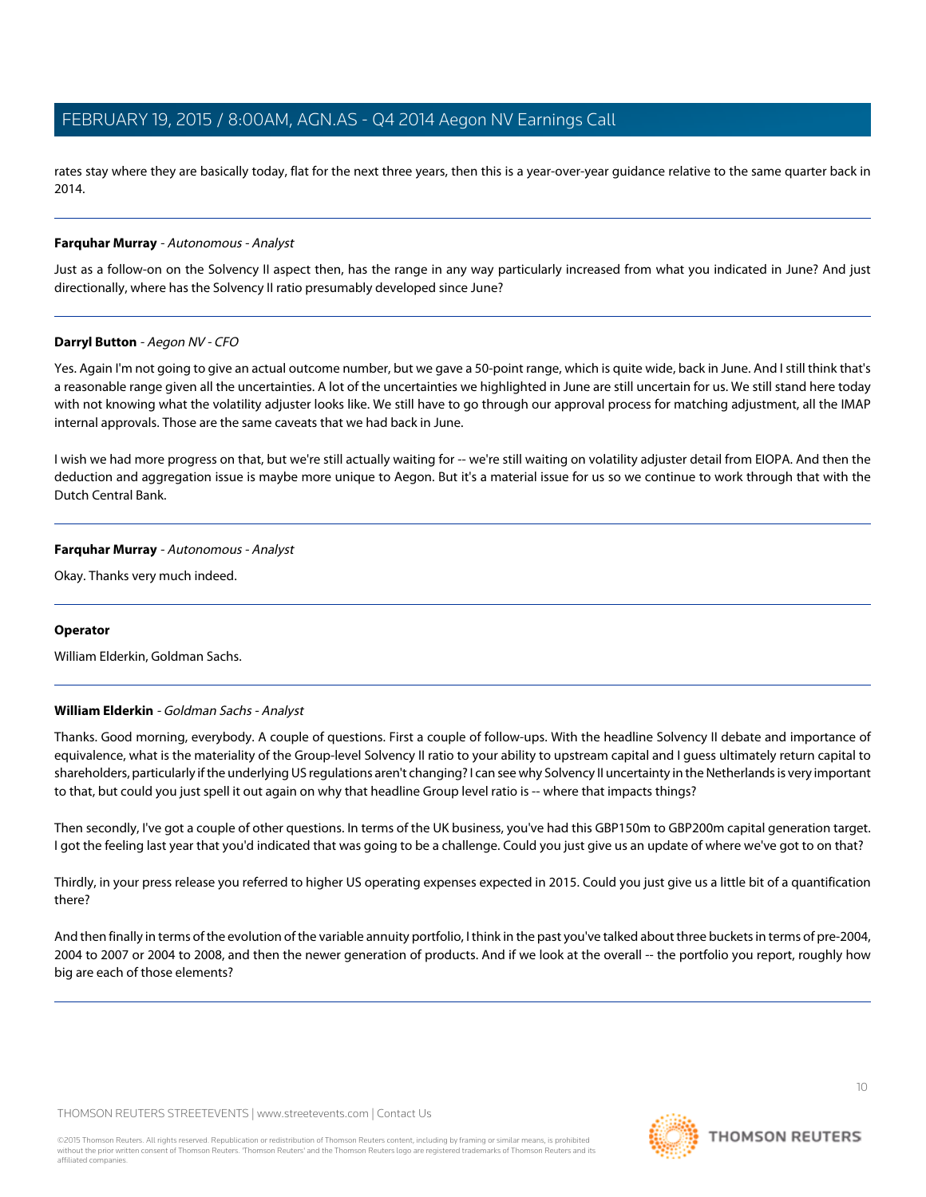rates stay where they are basically today, flat for the next three years, then this is a year-over-year guidance relative to the same quarter back in 2014.

### **Farquhar Murray** - Autonomous - Analyst

Just as a follow-on on the Solvency II aspect then, has the range in any way particularly increased from what you indicated in June? And just directionally, where has the Solvency II ratio presumably developed since June?

### **Darryl Button** - Aegon NV - CFO

Yes. Again I'm not going to give an actual outcome number, but we gave a 50-point range, which is quite wide, back in June. And I still think that's a reasonable range given all the uncertainties. A lot of the uncertainties we highlighted in June are still uncertain for us. We still stand here today with not knowing what the volatility adjuster looks like. We still have to go through our approval process for matching adjustment, all the IMAP internal approvals. Those are the same caveats that we had back in June.

I wish we had more progress on that, but we're still actually waiting for -- we're still waiting on volatility adjuster detail from EIOPA. And then the deduction and aggregation issue is maybe more unique to Aegon. But it's a material issue for us so we continue to work through that with the Dutch Central Bank.

### **Farquhar Murray** - Autonomous - Analyst

Okay. Thanks very much indeed.

### <span id="page-9-0"></span>**Operator**

William Elderkin, Goldman Sachs.

# **William Elderkin** - Goldman Sachs - Analyst

Thanks. Good morning, everybody. A couple of questions. First a couple of follow-ups. With the headline Solvency II debate and importance of equivalence, what is the materiality of the Group-level Solvency II ratio to your ability to upstream capital and I guess ultimately return capital to shareholders, particularly if the underlying US regulations aren't changing? I can see why Solvency II uncertainty in the Netherlands is very important to that, but could you just spell it out again on why that headline Group level ratio is -- where that impacts things?

Then secondly, I've got a couple of other questions. In terms of the UK business, you've had this GBP150m to GBP200m capital generation target. I got the feeling last year that you'd indicated that was going to be a challenge. Could you just give us an update of where we've got to on that?

Thirdly, in your press release you referred to higher US operating expenses expected in 2015. Could you just give us a little bit of a quantification there?

And then finally in terms of the evolution of the variable annuity portfolio, I think in the past you've talked about three buckets in terms of pre-2004, 2004 to 2007 or 2004 to 2008, and then the newer generation of products. And if we look at the overall -- the portfolio you report, roughly how big are each of those elements?

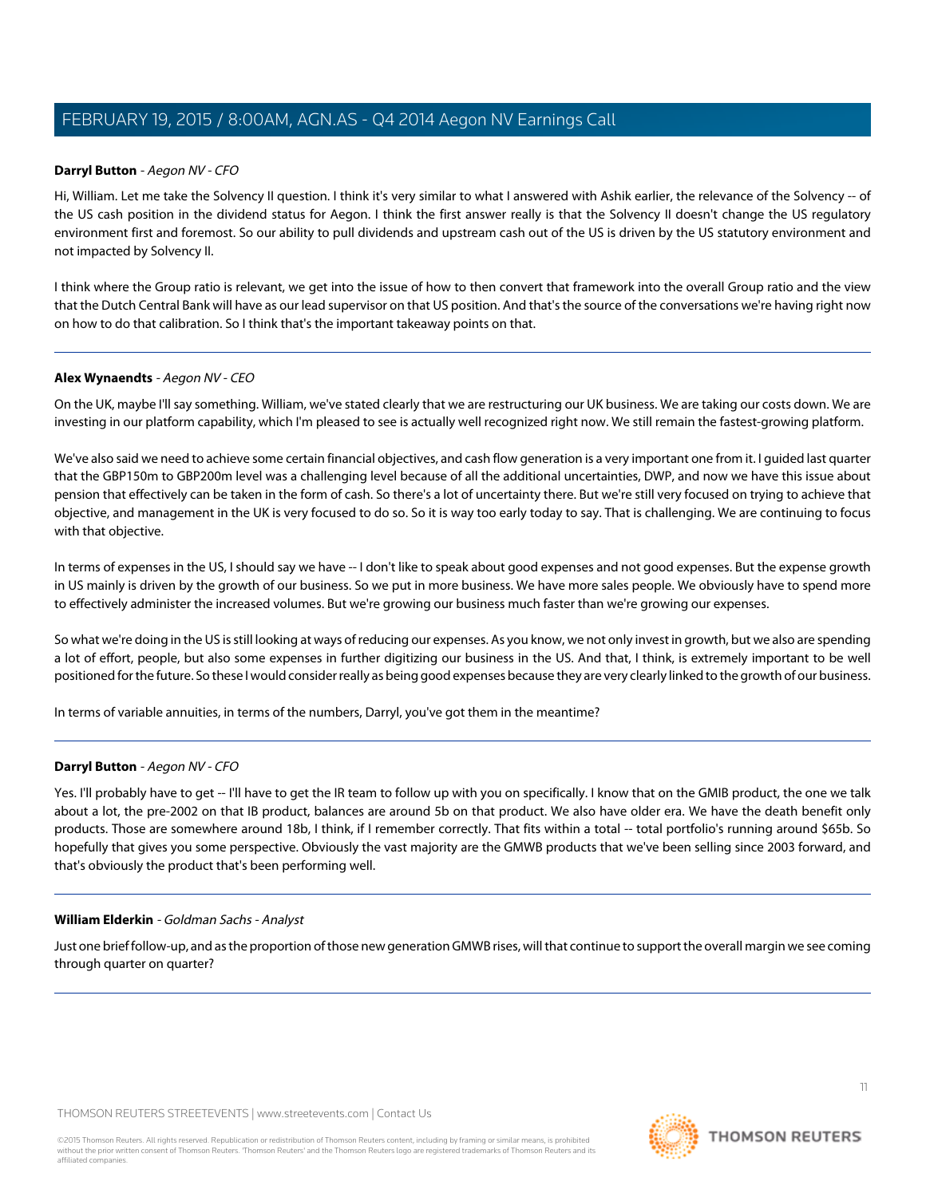### **Darryl Button** - Aegon NV - CFO

Hi, William. Let me take the Solvency II question. I think it's very similar to what I answered with Ashik earlier, the relevance of the Solvency -- of the US cash position in the dividend status for Aegon. I think the first answer really is that the Solvency II doesn't change the US regulatory environment first and foremost. So our ability to pull dividends and upstream cash out of the US is driven by the US statutory environment and not impacted by Solvency II.

I think where the Group ratio is relevant, we get into the issue of how to then convert that framework into the overall Group ratio and the view that the Dutch Central Bank will have as our lead supervisor on that US position. And that's the source of the conversations we're having right now on how to do that calibration. So I think that's the important takeaway points on that.

### **Alex Wynaendts** - Aegon NV - CEO

On the UK, maybe I'll say something. William, we've stated clearly that we are restructuring our UK business. We are taking our costs down. We are investing in our platform capability, which I'm pleased to see is actually well recognized right now. We still remain the fastest-growing platform.

We've also said we need to achieve some certain financial objectives, and cash flow generation is a very important one from it. I guided last quarter that the GBP150m to GBP200m level was a challenging level because of all the additional uncertainties, DWP, and now we have this issue about pension that effectively can be taken in the form of cash. So there's a lot of uncertainty there. But we're still very focused on trying to achieve that objective, and management in the UK is very focused to do so. So it is way too early today to say. That is challenging. We are continuing to focus with that objective.

In terms of expenses in the US, I should say we have -- I don't like to speak about good expenses and not good expenses. But the expense growth in US mainly is driven by the growth of our business. So we put in more business. We have more sales people. We obviously have to spend more to effectively administer the increased volumes. But we're growing our business much faster than we're growing our expenses.

So what we're doing in the US is still looking at ways of reducing our expenses. As you know, we not only invest in growth, but we also are spending a lot of effort, people, but also some expenses in further digitizing our business in the US. And that, I think, is extremely important to be well positioned for the future. So these I would consider really as being good expenses because they are very clearly linked to the growth of our business.

In terms of variable annuities, in terms of the numbers, Darryl, you've got them in the meantime?

# **Darryl Button** - Aegon NV - CFO

Yes. I'll probably have to get -- I'll have to get the IR team to follow up with you on specifically. I know that on the GMIB product, the one we talk about a lot, the pre-2002 on that IB product, balances are around 5b on that product. We also have older era. We have the death benefit only products. Those are somewhere around 18b, I think, if I remember correctly. That fits within a total -- total portfolio's running around \$65b. So hopefully that gives you some perspective. Obviously the vast majority are the GMWB products that we've been selling since 2003 forward, and that's obviously the product that's been performing well.

### **William Elderkin** - Goldman Sachs - Analyst

Just one brief follow-up, and as the proportion of those new generation GMWB rises, will that continue to support the overall margin we see coming through quarter on quarter?

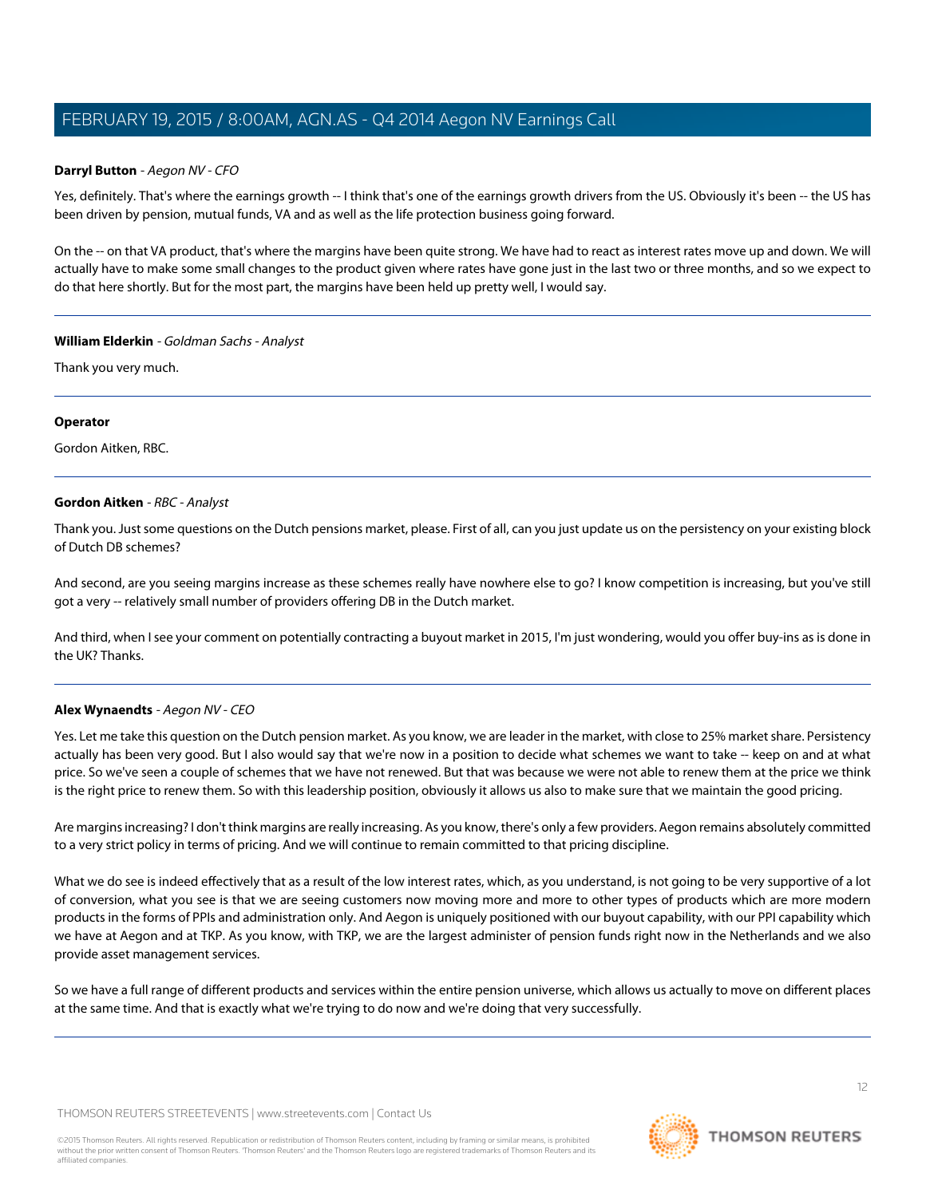### **Darryl Button** - Aegon NV - CFO

Yes, definitely. That's where the earnings growth -- I think that's one of the earnings growth drivers from the US. Obviously it's been -- the US has been driven by pension, mutual funds, VA and as well as the life protection business going forward.

On the -- on that VA product, that's where the margins have been quite strong. We have had to react as interest rates move up and down. We will actually have to make some small changes to the product given where rates have gone just in the last two or three months, and so we expect to do that here shortly. But for the most part, the margins have been held up pretty well, I would say.

### **William Elderkin** - Goldman Sachs - Analyst

Thank you very much.

### **Operator**

<span id="page-11-0"></span>Gordon Aitken, RBC.

### **Gordon Aitken** - RBC - Analyst

Thank you. Just some questions on the Dutch pensions market, please. First of all, can you just update us on the persistency on your existing block of Dutch DB schemes?

And second, are you seeing margins increase as these schemes really have nowhere else to go? I know competition is increasing, but you've still got a very -- relatively small number of providers offering DB in the Dutch market.

And third, when I see your comment on potentially contracting a buyout market in 2015, I'm just wondering, would you offer buy-ins as is done in the UK? Thanks.

### **Alex Wynaendts** - Aegon NV - CEO

Yes. Let me take this question on the Dutch pension market. As you know, we are leader in the market, with close to 25% market share. Persistency actually has been very good. But I also would say that we're now in a position to decide what schemes we want to take -- keep on and at what price. So we've seen a couple of schemes that we have not renewed. But that was because we were not able to renew them at the price we think is the right price to renew them. So with this leadership position, obviously it allows us also to make sure that we maintain the good pricing.

Are margins increasing? I don't think margins are really increasing. As you know, there's only a few providers. Aegon remains absolutely committed to a very strict policy in terms of pricing. And we will continue to remain committed to that pricing discipline.

What we do see is indeed effectively that as a result of the low interest rates, which, as you understand, is not going to be very supportive of a lot of conversion, what you see is that we are seeing customers now moving more and more to other types of products which are more modern products in the forms of PPIs and administration only. And Aegon is uniquely positioned with our buyout capability, with our PPI capability which we have at Aegon and at TKP. As you know, with TKP, we are the largest administer of pension funds right now in the Netherlands and we also provide asset management services.

So we have a full range of different products and services within the entire pension universe, which allows us actually to move on different places at the same time. And that is exactly what we're trying to do now and we're doing that very successfully.

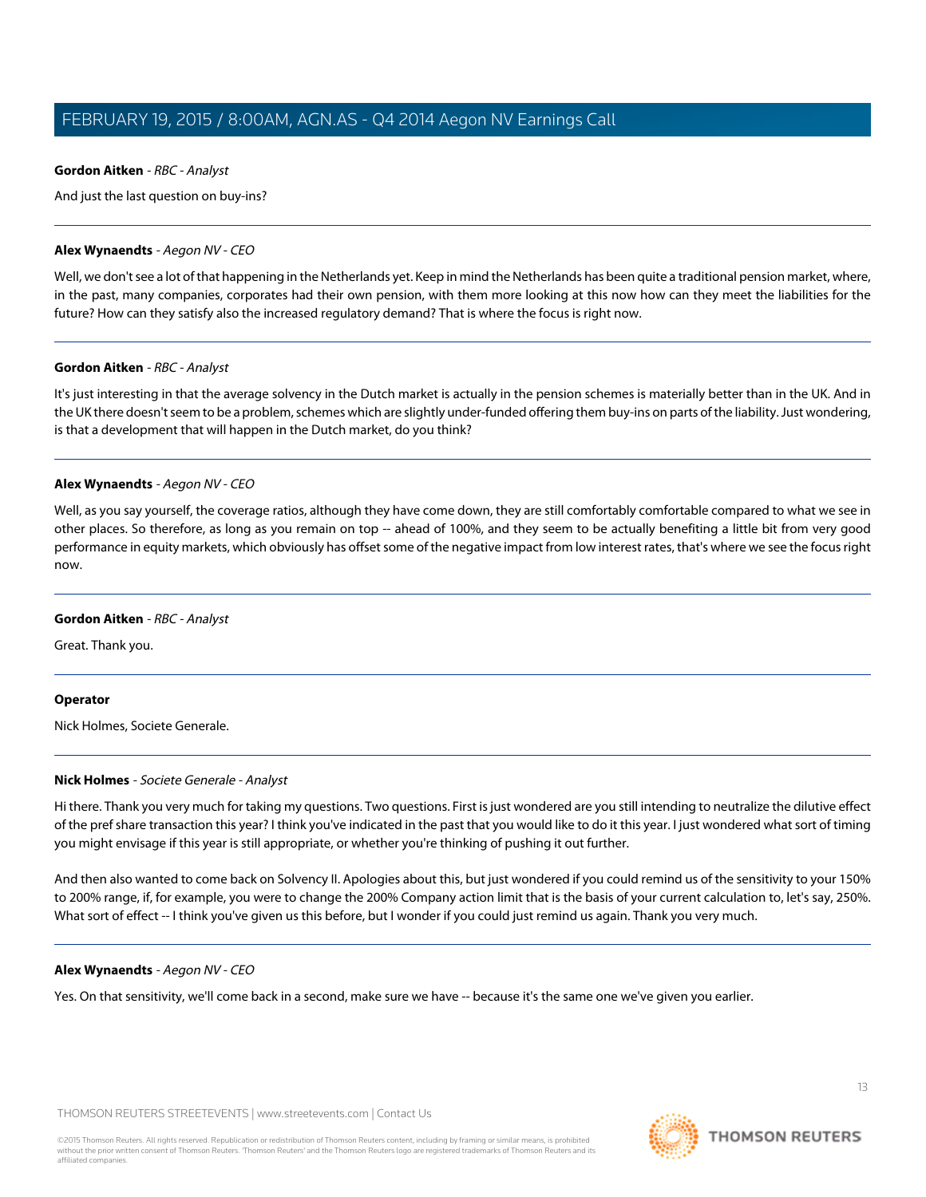### **Gordon Aitken** - RBC - Analyst

And just the last question on buy-ins?

### **Alex Wynaendts** - Aegon NV - CEO

Well, we don't see a lot of that happening in the Netherlands yet. Keep in mind the Netherlands has been quite a traditional pension market, where, in the past, many companies, corporates had their own pension, with them more looking at this now how can they meet the liabilities for the future? How can they satisfy also the increased regulatory demand? That is where the focus is right now.

### **Gordon Aitken** - RBC - Analyst

It's just interesting in that the average solvency in the Dutch market is actually in the pension schemes is materially better than in the UK. And in the UK there doesn't seem to be a problem, schemes which are slightly under-funded offering them buy-ins on parts of the liability. Just wondering, is that a development that will happen in the Dutch market, do you think?

### **Alex Wynaendts** - Aegon NV - CEO

Well, as you say yourself, the coverage ratios, although they have come down, they are still comfortably comfortable compared to what we see in other places. So therefore, as long as you remain on top -- ahead of 100%, and they seem to be actually benefiting a little bit from very good performance in equity markets, which obviously has offset some of the negative impact from low interest rates, that's where we see the focus right now.

### **Gordon Aitken** - RBC - Analyst

Great. Thank you.

### <span id="page-12-0"></span>**Operator**

Nick Holmes, Societe Generale.

### **Nick Holmes** - Societe Generale - Analyst

Hi there. Thank you very much for taking my questions. Two questions. First is just wondered are you still intending to neutralize the dilutive effect of the pref share transaction this year? I think you've indicated in the past that you would like to do it this year. I just wondered what sort of timing you might envisage if this year is still appropriate, or whether you're thinking of pushing it out further.

And then also wanted to come back on Solvency II. Apologies about this, but just wondered if you could remind us of the sensitivity to your 150% to 200% range, if, for example, you were to change the 200% Company action limit that is the basis of your current calculation to, let's say, 250%. What sort of effect -- I think you've given us this before, but I wonder if you could just remind us again. Thank you very much.

# **Alex Wynaendts** - Aegon NV - CEO

Yes. On that sensitivity, we'll come back in a second, make sure we have -- because it's the same one we've given you earlier.

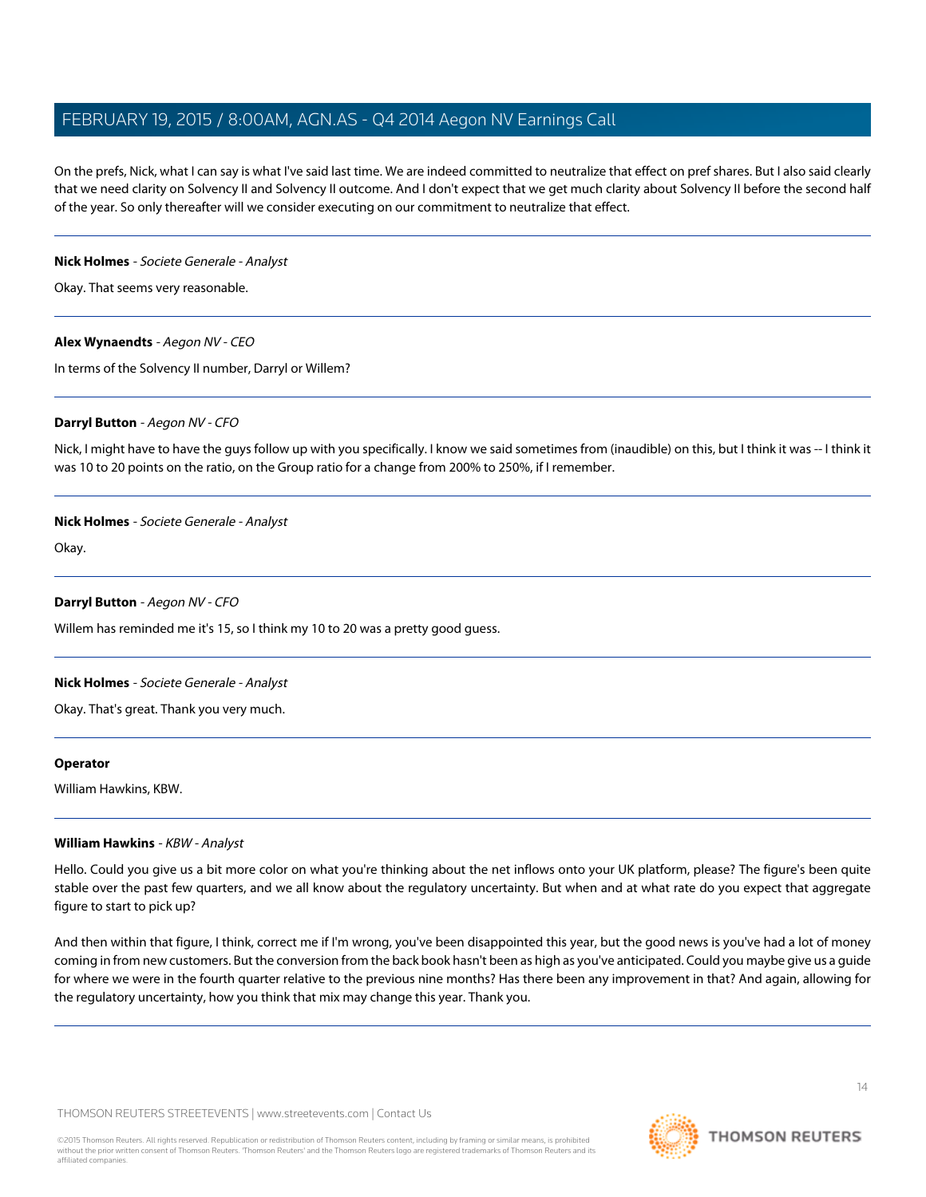On the prefs, Nick, what I can say is what I've said last time. We are indeed committed to neutralize that effect on pref shares. But I also said clearly that we need clarity on Solvency II and Solvency II outcome. And I don't expect that we get much clarity about Solvency II before the second half of the year. So only thereafter will we consider executing on our commitment to neutralize that effect.

### **Nick Holmes** - Societe Generale - Analyst

Okay. That seems very reasonable.

# **Alex Wynaendts** - Aegon NV - CEO

In terms of the Solvency II number, Darryl or Willem?

### **Darryl Button** - Aegon NV - CFO

Nick, I might have to have the guys follow up with you specifically. I know we said sometimes from (inaudible) on this, but I think it was -- I think it was 10 to 20 points on the ratio, on the Group ratio for a change from 200% to 250%, if I remember.

### **Nick Holmes** - Societe Generale - Analyst

Okay.

### **Darryl Button** - Aegon NV - CFO

Willem has reminded me it's 15, so I think my 10 to 20 was a pretty good guess.

# **Nick Holmes** - Societe Generale - Analyst

Okay. That's great. Thank you very much.

### <span id="page-13-0"></span>**Operator**

William Hawkins, KBW.

# **William Hawkins** - KBW - Analyst

Hello. Could you give us a bit more color on what you're thinking about the net inflows onto your UK platform, please? The figure's been quite stable over the past few quarters, and we all know about the regulatory uncertainty. But when and at what rate do you expect that aggregate figure to start to pick up?

And then within that figure, I think, correct me if I'm wrong, you've been disappointed this year, but the good news is you've had a lot of money coming in from new customers. But the conversion from the back book hasn't been as high as you've anticipated. Could you maybe give us a guide for where we were in the fourth quarter relative to the previous nine months? Has there been any improvement in that? And again, allowing for the regulatory uncertainty, how you think that mix may change this year. Thank you.

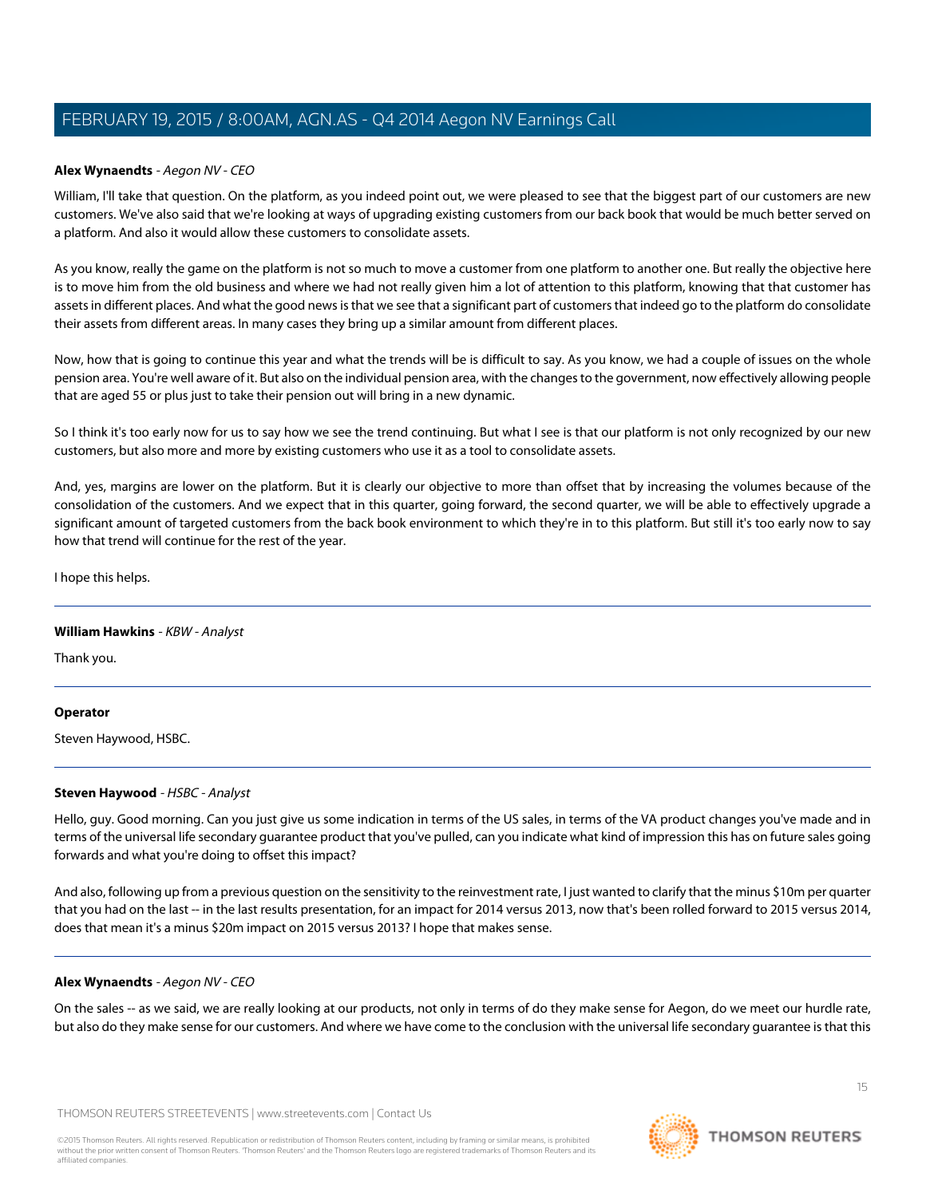### **Alex Wynaendts** - Aegon NV - CEO

William, I'll take that question. On the platform, as you indeed point out, we were pleased to see that the biggest part of our customers are new customers. We've also said that we're looking at ways of upgrading existing customers from our back book that would be much better served on a platform. And also it would allow these customers to consolidate assets.

As you know, really the game on the platform is not so much to move a customer from one platform to another one. But really the objective here is to move him from the old business and where we had not really given him a lot of attention to this platform, knowing that that customer has assets in different places. And what the good news is that we see that a significant part of customers that indeed go to the platform do consolidate their assets from different areas. In many cases they bring up a similar amount from different places.

Now, how that is going to continue this year and what the trends will be is difficult to say. As you know, we had a couple of issues on the whole pension area. You're well aware of it. But also on the individual pension area, with the changes to the government, now effectively allowing people that are aged 55 or plus just to take their pension out will bring in a new dynamic.

So I think it's too early now for us to say how we see the trend continuing. But what I see is that our platform is not only recognized by our new customers, but also more and more by existing customers who use it as a tool to consolidate assets.

And, yes, margins are lower on the platform. But it is clearly our objective to more than offset that by increasing the volumes because of the consolidation of the customers. And we expect that in this quarter, going forward, the second quarter, we will be able to effectively upgrade a significant amount of targeted customers from the back book environment to which they're in to this platform. But still it's too early now to say how that trend will continue for the rest of the year.

I hope this helps.

### **William Hawkins** - KBW - Analyst

Thank you.

### <span id="page-14-0"></span>**Operator**

Steven Haywood, HSBC.

### **Steven Haywood** - HSBC - Analyst

Hello, guy. Good morning. Can you just give us some indication in terms of the US sales, in terms of the VA product changes you've made and in terms of the universal life secondary guarantee product that you've pulled, can you indicate what kind of impression this has on future sales going forwards and what you're doing to offset this impact?

And also, following up from a previous question on the sensitivity to the reinvestment rate, I just wanted to clarify that the minus \$10m per quarter that you had on the last -- in the last results presentation, for an impact for 2014 versus 2013, now that's been rolled forward to 2015 versus 2014, does that mean it's a minus \$20m impact on 2015 versus 2013? I hope that makes sense.

### **Alex Wynaendts** - Aegon NV - CEO

On the sales -- as we said, we are really looking at our products, not only in terms of do they make sense for Aegon, do we meet our hurdle rate, but also do they make sense for our customers. And where we have come to the conclusion with the universal life secondary guarantee is that this

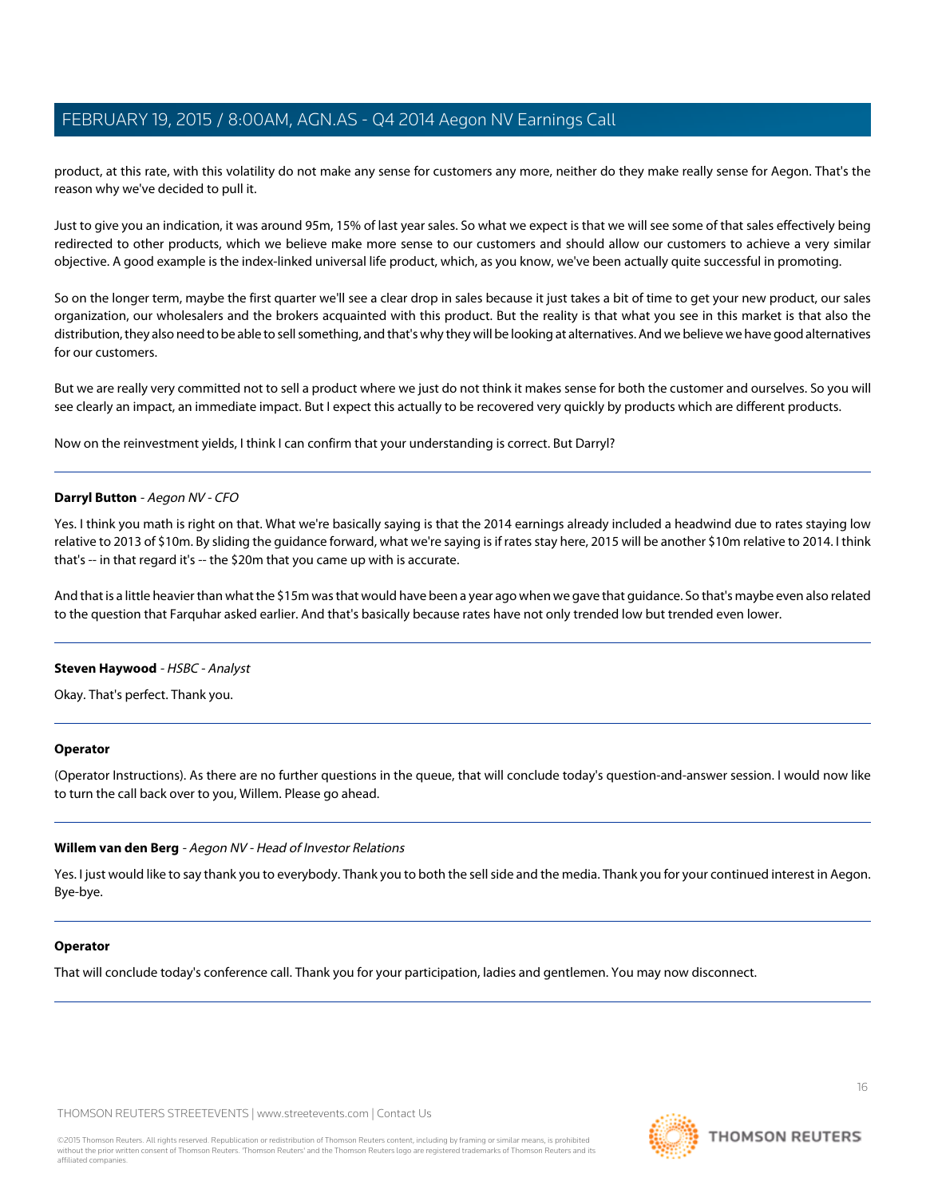product, at this rate, with this volatility do not make any sense for customers any more, neither do they make really sense for Aegon. That's the reason why we've decided to pull it.

Just to give you an indication, it was around 95m, 15% of last year sales. So what we expect is that we will see some of that sales effectively being redirected to other products, which we believe make more sense to our customers and should allow our customers to achieve a very similar objective. A good example is the index-linked universal life product, which, as you know, we've been actually quite successful in promoting.

So on the longer term, maybe the first quarter we'll see a clear drop in sales because it just takes a bit of time to get your new product, our sales organization, our wholesalers and the brokers acquainted with this product. But the reality is that what you see in this market is that also the distribution, they also need to be able to sell something, and that's why they will be looking at alternatives. And we believe we have good alternatives for our customers.

But we are really very committed not to sell a product where we just do not think it makes sense for both the customer and ourselves. So you will see clearly an impact, an immediate impact. But I expect this actually to be recovered very quickly by products which are different products.

Now on the reinvestment yields, I think I can confirm that your understanding is correct. But Darryl?

### **Darryl Button** - Aegon NV - CFO

Yes. I think you math is right on that. What we're basically saying is that the 2014 earnings already included a headwind due to rates staying low relative to 2013 of \$10m. By sliding the guidance forward, what we're saying is if rates stay here, 2015 will be another \$10m relative to 2014. I think that's -- in that regard it's -- the \$20m that you came up with is accurate.

And that is a little heavier than what the \$15m was that would have been a year ago when we gave that guidance. So that's maybe even also related to the question that Farquhar asked earlier. And that's basically because rates have not only trended low but trended even lower.

### **Steven Haywood** - HSBC - Analyst

Okay. That's perfect. Thank you.

### **Operator**

(Operator Instructions). As there are no further questions in the queue, that will conclude today's question-and-answer session. I would now like to turn the call back over to you, Willem. Please go ahead.

### **Willem van den Berg** - Aegon NV - Head of Investor Relations

Yes. I just would like to say thank you to everybody. Thank you to both the sell side and the media. Thank you for your continued interest in Aegon. Bye-bye.

### **Operator**

That will conclude today's conference call. Thank you for your participation, ladies and gentlemen. You may now disconnect.